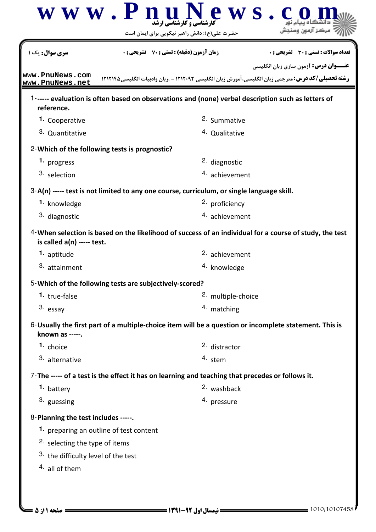|                                               | ews.<br>www.PnuN<br><b>کارشناسی و کارشناسی ارشد</b><br>حضرت علی(ع): دانش راهبر نیکویی برای ایمان است     |                                              |
|-----------------------------------------------|----------------------------------------------------------------------------------------------------------|----------------------------------------------|
| <b>سری سوال :</b> یک ۱                        | <b>زمان آزمون (دقیقه) : تستی : 70 ٪ تشریحی: 0</b>                                                        | تعداد سوالات : تستي : 30 ٪ تشريحي : 0        |
| www.PnuNews.com<br>www.PnuNews.net            | <b>رشته تحصیلی/کد درس:</b> مترجمی زبان انگلیسی،آموزش زبان انگلیسی ۱۲۱۲۰۹۲ - ،زبان وادبیات انگلیسی1۲۱۲۱۴۵ | <b>عنـــوان درس:</b> آزمون سازی زبان انگلیسی |
| reference.                                    | 1------ evaluation is often based on observations and (none) verbal description such as letters of       |                                              |
| 1. Cooperative                                | 2. Summative                                                                                             |                                              |
| 3. Quantitative                               | 4. Qualitative                                                                                           |                                              |
| 2-Which of the following tests is prognostic? |                                                                                                          |                                              |
| 1. progress                                   | 2. diagnostic                                                                                            |                                              |
| 3. selection                                  | 4. achievement                                                                                           |                                              |
|                                               | 3-A(n) ----- test is not limited to any one course, curriculum, or single language skill.                |                                              |
| <sup>1.</sup> knowledge                       | <sup>2.</sup> proficiency                                                                                |                                              |
| 3. diagnostic                                 | 4. achievement                                                                                           |                                              |
| is called $a(n)$ ----- test.                  | 4-When selection is based on the likelihood of success of an individual for a course of study, the test  |                                              |
| 1. aptitude                                   | 2. achievement                                                                                           |                                              |
| 3. attainment                                 | <sup>4.</sup> knowledge                                                                                  |                                              |
|                                               | 5-Which of the following tests are subjectively-scored?                                                  |                                              |
| 1. true-false                                 | 2. multiple-choice                                                                                       |                                              |
| 3. essay                                      | 4. matching                                                                                              |                                              |
| known as -----.                               | 6-Usually the first part of a multiple-choice item will be a question or incomplete statement. This is   |                                              |
| 1. choice                                     | 2. distractor                                                                                            |                                              |
| 3. alternative                                | 4. stem                                                                                                  |                                              |
|                                               | 7-The ----- of a test is the effect it has on learning and teaching that precedes or follows it.         |                                              |
| 1. battery                                    | 2. washback                                                                                              |                                              |
| 3. guessing                                   | <sup>4.</sup> pressure                                                                                   |                                              |
| 8-Planning the test includes -----.           |                                                                                                          |                                              |
| 1. preparing an outline of test content       |                                                                                                          |                                              |
| <sup>2.</sup> selecting the type of items     |                                                                                                          |                                              |
| 3. the difficulty level of the test           |                                                                                                          |                                              |
| 4. all of them                                |                                                                                                          |                                              |
|                                               |                                                                                                          |                                              |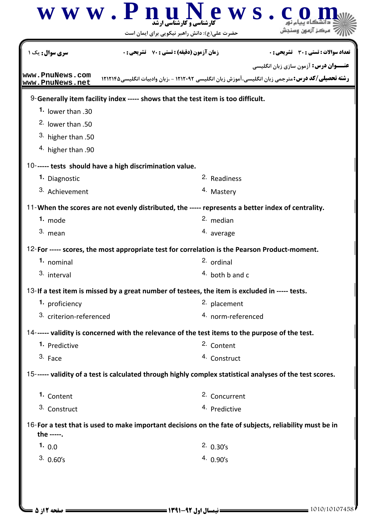|                                    | ews.<br>$\overline{\mathbf{w}}$ $\mathbf{w}$ $\mathbf{w}$ . $\mathbf{P}$ $\mathbf{n}$ $\mathbf{u}$ $\mathbf{v}$<br>حضرت علی(ع): دانش راهبر نیکویی برای ایمان است |
|------------------------------------|------------------------------------------------------------------------------------------------------------------------------------------------------------------|
| <b>سری سوال :</b> یک ۱             | <b>زمان آزمون (دقیقه) : تستی : 70 ٪ تشریحی: 0</b><br>تعداد سوالات : تستي : 30 ٪ تشريحي : 0<br><b>عنـــوان درس:</b> آزمون سازی زبان انگلیسی                       |
| www.PnuNews.com<br>www.PnuNews.net | <b>رشته تحصیلی/کد درس:</b> مترجمی زبان انگلیسی،آموزش زبان انگلیسی ۱۲۱۲۰۹۲ - ،زبان وادبیات انگلیسی1۲۱۲۱۴۵                                                         |
|                                    | 9-Generally item facility index ----- shows that the test item is too difficult.                                                                                 |
| 1. lower than .30                  |                                                                                                                                                                  |
| <sup>2.</sup> lower than .50       |                                                                                                                                                                  |
| <sup>3</sup> higher than .50       |                                                                                                                                                                  |
| <sup>4</sup> higher than .90       |                                                                                                                                                                  |
|                                    | 10------ tests should have a high discrimination value.                                                                                                          |
| 1. Diagnostic                      | 2. Readiness                                                                                                                                                     |
| 3. Achievement                     | <sup>4.</sup> Mastery                                                                                                                                            |
|                                    | 11-When the scores are not evenly distributed, the ----- represents a better index of centrality.                                                                |
| 1. mode                            | 2. median                                                                                                                                                        |
| 3. mean                            | 4. average                                                                                                                                                       |
|                                    | 12-For ----- scores, the most appropriate test for correlation is the Pearson Product-moment.                                                                    |
| 1. nominal                         | 2. ordinal                                                                                                                                                       |
| 3. interval                        | $4.$ both b and c                                                                                                                                                |
|                                    | 13-If a test item is missed by a great number of testees, the item is excluded in ----- tests.                                                                   |
| 1. proficiency                     | 2. placement                                                                                                                                                     |
| 3. criterion-referenced            | 4. norm-referenced                                                                                                                                               |
|                                    | 14------ validity is concerned with the relevance of the test items to the purpose of the test.                                                                  |
| 1. Predictive                      | 2. Content                                                                                                                                                       |
| 3. Face                            | 4. Construct                                                                                                                                                     |
|                                    | 15------ validity of a test is calculated through highly complex statistical analyses of the test scores.                                                        |
| 1. Content                         | 2. Concurrent                                                                                                                                                    |
| 3. Construct                       | 4. Predictive                                                                                                                                                    |
| the -----.                         | 16-For a test that is used to make important decisions on the fate of subjects, reliability must be in                                                           |
| 1. $0.0$                           | 2.0.30's                                                                                                                                                         |
| $3.0.60$ 's                        |                                                                                                                                                                  |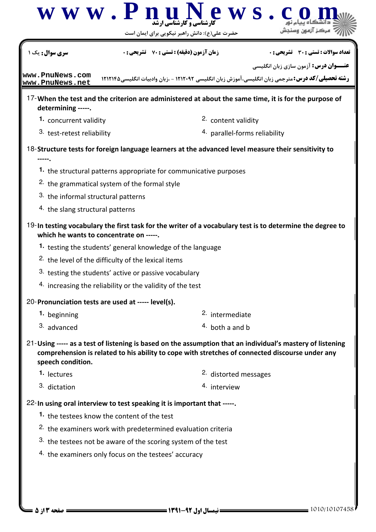| <b>سری سوال :</b> یک                                           | <b>زمان آزمون (دقیقه) : تستی : 70 گشریحی : 0</b>                                                                                                                                                              | تعداد سوالات : تستي : 30 ٪ تشريحي : 0        |
|----------------------------------------------------------------|---------------------------------------------------------------------------------------------------------------------------------------------------------------------------------------------------------------|----------------------------------------------|
|                                                                |                                                                                                                                                                                                               | <b>عنـــوان درس:</b> آزمون سازی زبان انگلیسی |
| www.PnuNews.com<br>www.PnuNews.net                             | <b>رشته تحصیلی/کد درس:</b> مترجمی زبان انگلیسی، آموزش زبان انگلیسی ۱۲۱۲۰۹۲ - ،زبان وادبیات انگلیسی1۲۱۲۱۴۵                                                                                                     |                                              |
| determining -----.                                             | 17-When the test and the criterion are administered at about the same time, it is for the purpose of                                                                                                          |                                              |
| 1. concurrent validity                                         | 2. content validity                                                                                                                                                                                           |                                              |
| 3. test-retest reliability                                     |                                                                                                                                                                                                               | 4. parallel-forms reliability                |
|                                                                | 18-Structure tests for foreign language learners at the advanced level measure their sensitivity to                                                                                                           |                                              |
|                                                                | 1. the structural patterns appropriate for communicative purposes                                                                                                                                             |                                              |
| <sup>2.</sup> the grammatical system of the formal style       |                                                                                                                                                                                                               |                                              |
| 3. the informal structural patterns                            |                                                                                                                                                                                                               |                                              |
| 4. the slang structural patterns                               |                                                                                                                                                                                                               |                                              |
| which he wants to concentrate on -----.                        | 19-In testing vocabulary the first task for the writer of a vocabulary test is to determine the degree to                                                                                                     |                                              |
|                                                                | 1. testing the students' general knowledge of the language                                                                                                                                                    |                                              |
| <sup>2.</sup> the level of the difficulty of the lexical items |                                                                                                                                                                                                               |                                              |
|                                                                | 3. testing the students' active or passive vocabulary                                                                                                                                                         |                                              |
|                                                                | 4. increasing the reliability or the validity of the test                                                                                                                                                     |                                              |
| 20-Pronunciation tests are used at ----- level(s).             |                                                                                                                                                                                                               |                                              |
| 1. beginning                                                   | 2. intermediate                                                                                                                                                                                               |                                              |
| 3. advanced                                                    | $4.$ both a and b                                                                                                                                                                                             |                                              |
| speech condition.                                              | 21-Using ----- as a test of listening is based on the assumption that an individual's mastery of listening<br>comprehension is related to his ability to cope with stretches of connected discourse under any |                                              |
| <sup>1.</sup> lectures                                         | <sup>2.</sup> distorted messages                                                                                                                                                                              |                                              |
| 3. dictation                                                   | 4. interview                                                                                                                                                                                                  |                                              |
|                                                                | 22-In using oral interview to test speaking it is important that -----.                                                                                                                                       |                                              |
| 1. the testees know the content of the test                    |                                                                                                                                                                                                               |                                              |
|                                                                | <sup>2.</sup> the examiners work with predetermined evaluation criteria                                                                                                                                       |                                              |
|                                                                | 3. the testees not be aware of the scoring system of the test                                                                                                                                                 |                                              |
|                                                                | 4. the examiners only focus on the testees' accuracy                                                                                                                                                          |                                              |
|                                                                |                                                                                                                                                                                                               |                                              |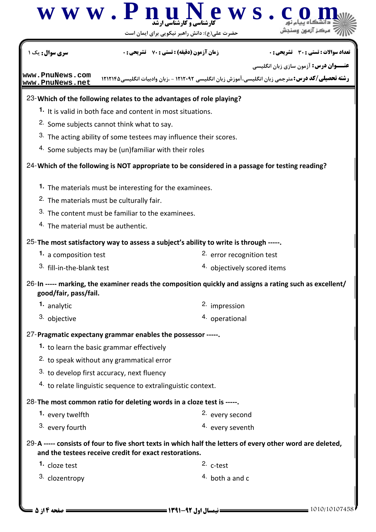| سری سوال : یک                                                           | <b>زمان آزمون (دقیقه) : تستی : 70 ٪ تشریحی : 0</b>                                                         | تعداد سوالات : تستي : 30 ٪ تشريحي : 0       |
|-------------------------------------------------------------------------|------------------------------------------------------------------------------------------------------------|---------------------------------------------|
|                                                                         |                                                                                                            | <b>عنــوان درس:</b> آزمون سازی زبان انگلیسی |
| www.PnuNews.com                                                         | رشته تحصیلی/کد درس: مترجمی زبان انگلیسی، آموزش زبان انگلیسی ۱۲۱۲۰۹۲ - ،زبان وادبیات انگلیسی1۲۱۲۱۴۵         |                                             |
| www.PnuNews.net                                                         |                                                                                                            |                                             |
|                                                                         | 23-Which of the following relates to the advantages of role playing?                                       |                                             |
| <sup>1</sup> . It is valid in both face and content in most situations. |                                                                                                            |                                             |
| <sup>2.</sup> Some subjects cannot think what to say.                   |                                                                                                            |                                             |
|                                                                         | 3. The acting ability of some testees may influence their scores.                                          |                                             |
| 4. Some subjects may be (un)familiar with their roles                   |                                                                                                            |                                             |
|                                                                         | 24-Which of the following is NOT appropriate to be considered in a passage for testing reading?            |                                             |
| <sup>1</sup> . The materials must be interesting for the examinees.     |                                                                                                            |                                             |
| <sup>2.</sup> The materials must be culturally fair.                    |                                                                                                            |                                             |
| 3. The content must be familiar to the examinees.                       |                                                                                                            |                                             |
| <sup>4.</sup> The material must be authentic.                           |                                                                                                            |                                             |
|                                                                         | 25-The most satisfactory way to assess a subject's ability to write is through -----.                      |                                             |
| 1. a composition test                                                   | 2. error recognition test                                                                                  |                                             |
| 3. fill-in-the-blank test                                               |                                                                                                            | 4. objectively scored items                 |
| good/fair, pass/fail.                                                   | -- marking, the examiner reads the composition quickly and assigns a rating such as excellent/             |                                             |
| <sup>1.</sup> analytic                                                  | 2. impression                                                                                              |                                             |
| 3. objective                                                            | 4. operational                                                                                             |                                             |
| 27-Pragmatic expectany grammar enables the possessor -----.             |                                                                                                            |                                             |
| 1. to learn the basic grammar effectively                               |                                                                                                            |                                             |
| <sup>2.</sup> to speak without any grammatical error                    |                                                                                                            |                                             |
| 3. to develop first accuracy, next fluency                              |                                                                                                            |                                             |
| 4. to relate linguistic sequence to extralinguistic context.            |                                                                                                            |                                             |
| 28-The most common ratio for deleting words in a cloze test is -----.   |                                                                                                            |                                             |
| 1. every twelfth                                                        | 2. every second                                                                                            |                                             |
| 3. every fourth                                                         | 4. every seventh                                                                                           |                                             |
| and the testees receive credit for exact restorations.                  | 29-A ----- consists of four to five short texts in which half the letters of every other word are deleted, |                                             |
| 1. cloze test                                                           | $2.$ c-test                                                                                                |                                             |
| 3. clozentropy                                                          | $4.$ both a and c                                                                                          |                                             |